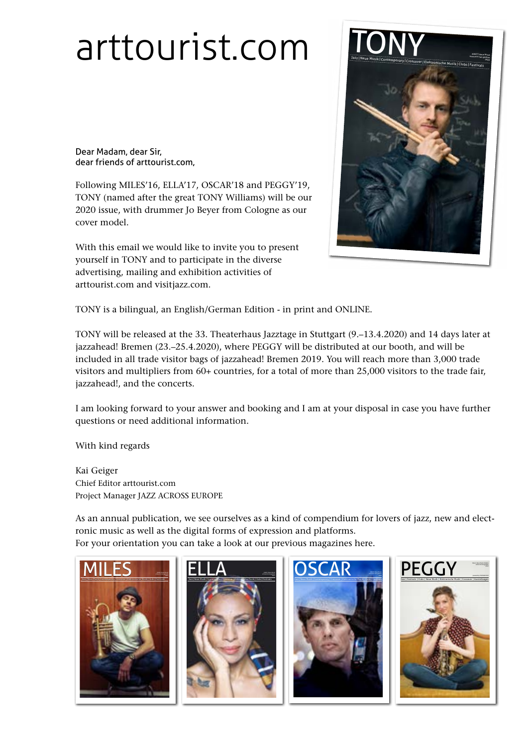## [arttourist.com](http://www.arttourist.com)

Dear Madam, dear Sir, dear friends of arttourist.com,

Following MILES'16, ELLA'17, OSCAR'18 and PEGGY'19, TONY (named after the great TONY Williams) will be our 2020 issue, with drummer Jo Beyer from Cologne as our cover model.

With this email we would like to invite you to present yourself in TONY and to participate in the diverse advertising, mailing and exhibition activities of arttourist.com and visitjazz.com.



TONY is a bilingual, an English/German Edition - in print and ONLINE.

TONY will be released at the 33. Theaterhaus Jazztage in Stuttgart (9.–13.4.2020) and 14 days later at jazzahead! Bremen (23.–25.4.2020), where PEGGY will be distributed at our booth, and will be included in all trade visitor bags of jazzahead! Bremen 2019. You will reach more than 3,000 trade visitors and multipliers from 60+ countries, for a total of more than 25,000 visitors to the trade fair, jazzahead!, and the concerts.

I am looking forward to your answer and booking and I am at your disposal in case you have further questions or need additional information.

With kind regards

Kai Geiger Chief Editor arttourist.com Project Manager JAZZ ACROSS EUROPE

As an annual publication, we see ourselves as a kind of compendium for lovers of jazz, new and electronic music as well as the digital forms of expression and platforms. For your orientation you can take a look at our previous magazines here.